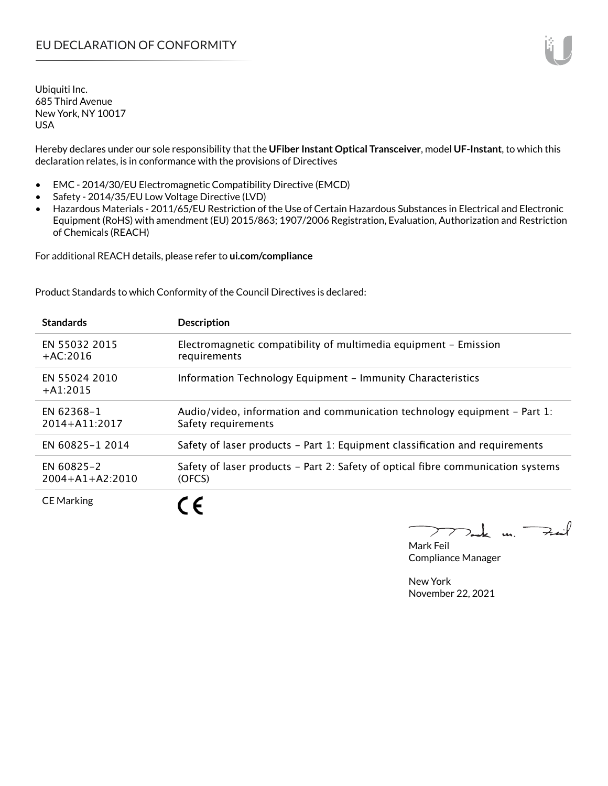Hereby declares under our sole responsibility that the **UFiber Instant Optical Transceiver**, model **UF-Instant**, to which this declaration relates, is in conformance with the provisions of Directives

- EMC 2014/30/EU Electromagnetic Compatibility Directive (EMCD)
- Safety 2014/35/EU Low Voltage Directive (LVD)
- Hazardous Materials 2011/65/EU Restriction of the Use of Certain Hazardous Substances in Electrical and Electronic Equipment (RoHS) with amendment (EU) 2015/863; 1907/2006 Registration, Evaluation, Authorization and Restriction of Chemicals (REACH)

For additional REACH details, please refer to **ui.com/compliance**

Product Standards to which Conformity of the Council Directives is declared:

| <b>Standards</b>                    | <b>Description</b>                                                                               |
|-------------------------------------|--------------------------------------------------------------------------------------------------|
| EN 55032 2015<br>$+AC:2016$         | Electromagnetic compatibility of multimedia equipment - Emission<br>requirements                 |
| EN 55024 2010<br>$+A1:2015$         | Information Technology Equipment - Immunity Characteristics                                      |
| EN 62368-1<br>$2014 + A11:2017$     | Audio/video, information and communication technology equipment – Part 1:<br>Safety requirements |
| EN 60825-1 2014                     | Safety of laser products - Part 1: Equipment classification and requirements                     |
| EN 60825-2<br>$2004 + A1 + A2:2010$ | Safety of laser products – Part 2: Safety of optical fibre communication systems<br>(OFCS)       |
| <b>CE Marking</b>                   |                                                                                                  |

 $k$  un  $\rightarrow$  $\mathcal{I}$ 

Mark Feil Compliance Manager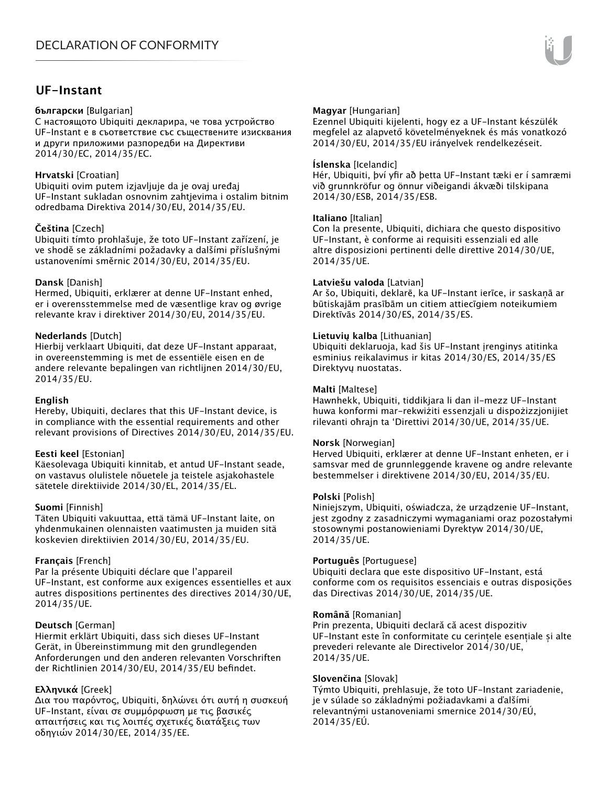# **UF-Instant**

#### **български** [Bulgarian]

С настоящото Ubiquiti декларира, че това устройство UF-Instant е в съответствие със съществените изисквания и други приложими разпоредби на Директиви 2014/30/ЕС, 2014/35/ЕС.

### **Hrvatski** [Croatian]

Ubiquiti ovim putem izjavljuje da je ovaj uređaj UF-Instant sukladan osnovnim zahtjevima i ostalim bitnim odredbama Direktiva 2014/30/EU, 2014/35/EU.

### **Čeština** [Czech]

Ubiquiti tímto prohlašuje, že toto UF-Instant zařízení, je ve shodě se základními požadavky a dalšími příslušnými ustanoveními směrnic 2014/30/EU, 2014/35/EU.

### **Dansk** [Danish]

Hermed, Ubiquiti, erklærer at denne UF-Instant enhed, er i overensstemmelse med de væsentlige krav og øvrige relevante krav i direktiver 2014/30/EU, 2014/35/EU.

### **Nederlands** [Dutch]

Hierbij verklaart Ubiquiti, dat deze UF-Instant apparaat, in overeenstemming is met de essentiële eisen en de andere relevante bepalingen van richtlijnen 2014/30/EU, 2014/35/EU.

### **English**

Hereby, Ubiquiti, declares that this UF-Instant device, is in compliance with the essential requirements and other relevant provisions of Directives 2014/30/EU, 2014/35/EU.

### **Eesti keel** [Estonian]

Käesolevaga Ubiquiti kinnitab, et antud UF-Instant seade, on vastavus olulistele nõuetele ja teistele asjakohastele sätetele direktiivide 2014/30/EL, 2014/35/EL.

### **Suomi** [Finnish]

Täten Ubiquiti vakuuttaa, että tämä UF-Instant laite, on yhdenmukainen olennaisten vaatimusten ja muiden sitä koskevien direktiivien 2014/30/EU, 2014/35/EU.

### **Français** [French]

Par la présente Ubiquiti déclare que l'appareil UF-Instant, est conforme aux exigences essentielles et aux autres dispositions pertinentes des directives 2014/30/UE, 2014/35/UE.

### **Deutsch** [German]

Hiermit erklärt Ubiquiti, dass sich dieses UF-Instant Gerät, in Übereinstimmung mit den grundlegenden Anforderungen und den anderen relevanten Vorschriften der Richtlinien 2014/30/EU, 2014/35/EU befindet.

### **Ελληνικά** [Greek]

Δια του παρόντος, Ubiquiti, δηλώνει ότι αυτή η συσκευή UF-Instant, είναι σε συμμόρφωση με τις βασικές απαιτήσεις και τις λοιπές σχετικές διατάξεις των οδηγιών 2014/30/EE, 2014/35/EE.

### **Magyar** [Hungarian]

Ezennel Ubiquiti kijelenti, hogy ez a UF-Instant készülék megfelel az alapvető követelményeknek és más vonatkozó 2014/30/EU, 2014/35/EU irányelvek rendelkezéseit.

### **Íslenska** [Icelandic]

Hér, Ubiquiti, því yfir að þetta UF-Instant tæki er í samræmi við grunnkröfur og önnur viðeigandi ákvæði tilskipana 2014/30/ESB, 2014/35/ESB.

### **Italiano** [Italian]

Con la presente, Ubiquiti, dichiara che questo dispositivo UF-Instant, è conforme ai requisiti essenziali ed alle altre disposizioni pertinenti delle direttive 2014/30/UE, 2014/35/UE.

#### **Latviešu valoda** [Latvian]

Ar šo, Ubiquiti, deklarē, ka UF-Instant ierīce, ir saskaņā ar būtiskajām prasībām un citiem attiecīgiem noteikumiem Direktīvās 2014/30/ES, 2014/35/ES.

### **Lietuvių kalba** [Lithuanian]

Ubiquiti deklaruoja, kad šis UF-Instant įrenginys atitinka esminius reikalavimus ir kitas 2014/30/ES, 2014/35/ES Direktyvų nuostatas.

#### **Malti** [Maltese]

Hawnhekk, Ubiquiti, tiddikjara li dan il-mezz UF-Instant huwa konformi mar-rekwiżiti essenzjali u dispożizzjonijiet rilevanti oħrajn ta 'Direttivi 2014/30/UE, 2014/35/UE.

#### **Norsk** [Norwegian]

Herved Ubiquiti, erklærer at denne UF-Instant enheten, er i samsvar med de grunnleggende kravene og andre relevante bestemmelser i direktivene 2014/30/EU, 2014/35/EU.

### **Polski** [Polish]

Niniejszym, Ubiquiti, oświadcza, że urządzenie UF-Instant, jest zgodny z zasadniczymi wymaganiami oraz pozostałymi stosownymi postanowieniami Dyrektyw 2014/30/UE, 2014/35/UE.

### **Português** [Portuguese]

Ubiquiti declara que este dispositivo UF-Instant, está conforme com os requisitos essenciais e outras disposições das Directivas 2014/30/UE, 2014/35/UE.

#### **Română** [Romanian]

Prin prezenta, Ubiquiti declară că acest dispozitiv UF-Instant este în conformitate cu cerințele esențiale și alte prevederi relevante ale Directivelor 2014/30/UE, 2014/35/UE.

### **Slovenčina** [Slovak]

Týmto Ubiquiti, prehlasuje, že toto UF-Instant zariadenie, je v súlade so základnými požiadavkami a ďalšími relevantnými ustanoveniami smernice 2014/30/EÚ, 2014/35/EÚ.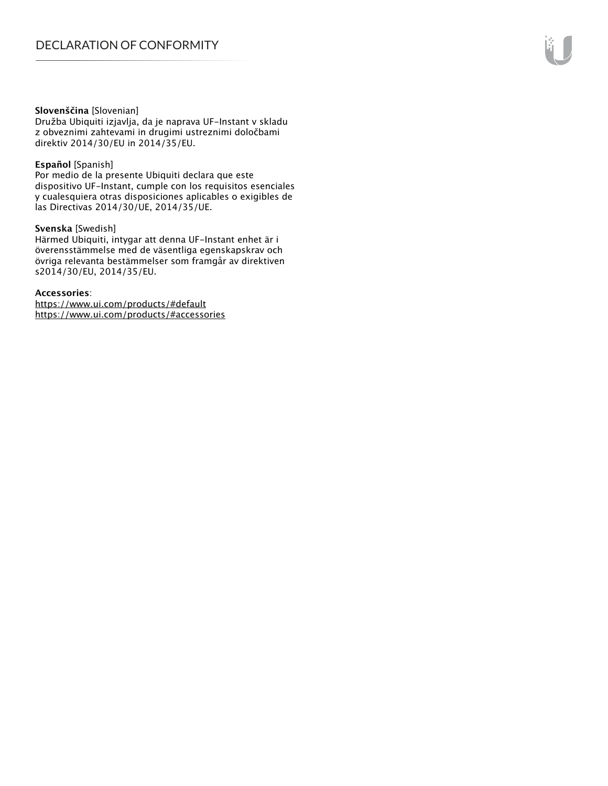#### **Slovenščina** [Slovenian]

Družba Ubiquiti izjavlja, da je naprava UF-Instant v skladu z obveznimi zahtevami in drugimi ustreznimi določbami direktiv 2014/30/EU in 2014/35/EU.

#### **Español** [Spanish]

Por medio de la presente Ubiquiti declara que este dispositivo UF-Instant, cumple con los requisitos esenciales y cualesquiera otras disposiciones aplicables o exigibles de las Directivas 2014/30/UE, 2014/35/UE.

#### **Svenska** [Swedish]

Härmed Ubiquiti, intygar att denna UF-Instant enhet är i överensstämmelse med de väsentliga egenskapskrav och övriga relevanta bestämmelser som framgår av direktiven s2014/30/EU, 2014/35/EU.

#### **Accessories**:

https://www.ui.com/products/#default https://www.ui.com/products/#accessories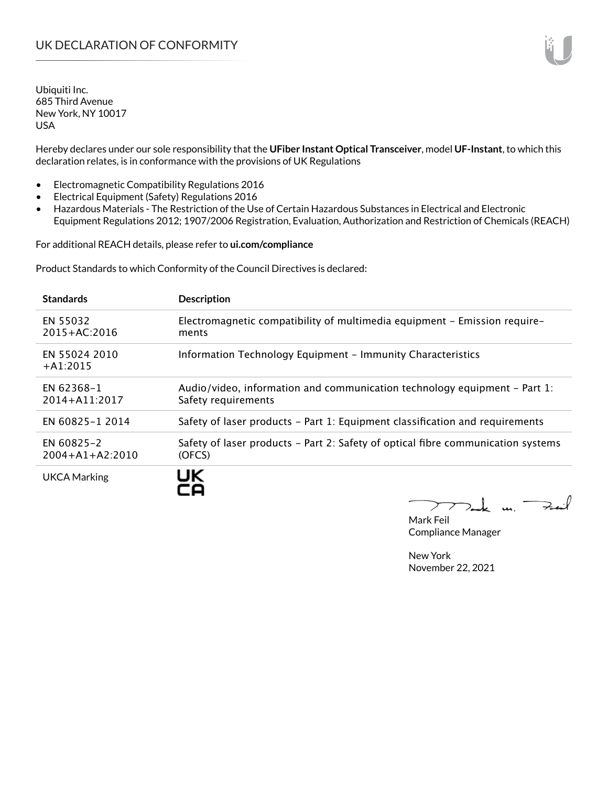Hereby declares under our sole responsibility that the **UFiber Instant Optical Transceiver**, model **UF-Instant**, to which this declaration relates, is in conformance with the provisions of UK Regulations

- Electromagnetic Compatibility Regulations 2016
- Electrical Equipment (Safety) Regulations 2016
- Hazardous Materials The Restriction of the Use of Certain Hazardous Substances in Electrical and Electronic Equipment Regulations 2012; 1907/2006 Registration, Evaluation, Authorization and Restriction of Chemicals (REACH)

For additional REACH details, please refer to **ui.com/compliance**

Product Standards to which Conformity of the Council Directives is declared:

| <b>Standards</b>                    | <b>Description</b>                                                                               |
|-------------------------------------|--------------------------------------------------------------------------------------------------|
| EN 55032<br>$2015 + AC:2016$        | Electromagnetic compatibility of multimedia equipment - Emission require-<br>ments               |
| EN 55024 2010<br>$+A1:2015$         | Information Technology Equipment - Immunity Characteristics                                      |
| <b>EN 62368-1</b><br>2014+A11:2017  | Audio/video, information and communication technology equipment – Part 1:<br>Safety requirements |
| EN 60825-1 2014                     | Safety of laser products – Part 1: Equipment classification and requirements                     |
| EN 60825-2<br>$2004 + A1 + A2:2010$ | Safety of laser products - Part 2: Safety of optical fibre communication systems<br>(OFCS)       |
| <b>UKCA Marking</b>                 | UK                                                                                               |

 $u_1$   $\rightarrow$ 

Mark Feil Compliance Manager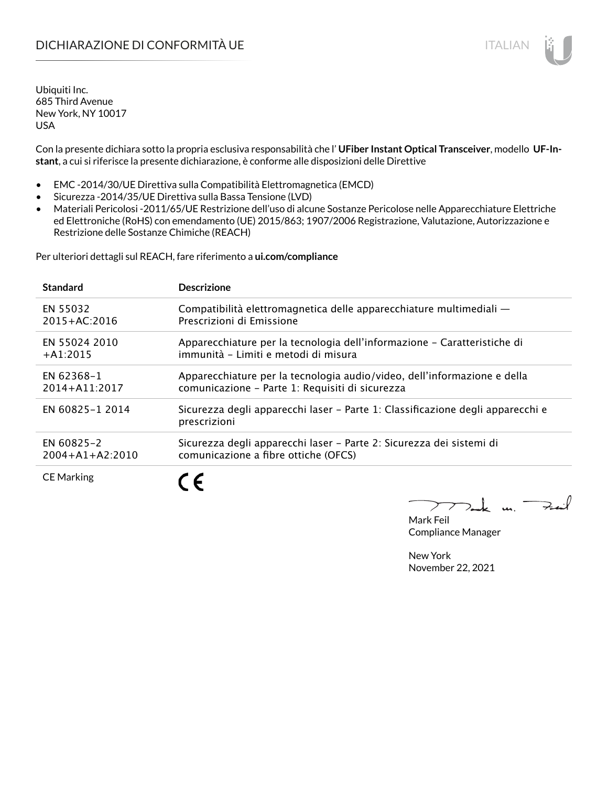# DICHIARAZIONE DI CONFORMITÀ UE ITALIAN ITALIAN

Ubiquiti Inc. 685 Third Avenue New York, NY 10017 USA

Con la presente dichiara sotto la propria esclusiva responsabilità che l' **UFiber Instant Optical Transceiver**, modello **UF-Instant**, a cui si riferisce la presente dichiarazione, è conforme alle disposizioni delle Direttive

- EMC -2014/30/UE Direttiva sulla Compatibilità Elettromagnetica (EMCD)
- Sicurezza -2014/35/UE Direttiva sulla Bassa Tensione (LVD)
- Materiali Pericolosi -2011/65/UE Restrizione dell'uso di alcune Sostanze Pericolose nelle Apparecchiature Elettriche ed Elettroniche (RoHS) con emendamento (UE) 2015/863; 1907/2006 Registrazione, Valutazione, Autorizzazione e Restrizione delle Sostanze Chimiche (REACH)

Per ulteriori dettagli sul REACH, fare riferimento a **ui.com/compliance**

| <b>Standard</b>       | <b>Descrizione</b>                                                                             |
|-----------------------|------------------------------------------------------------------------------------------------|
| EN 55032              | Compatibilità elettromagnetica delle apparecchiature multimediali -                            |
| 2015+AC:2016          | Prescrizioni di Emissione                                                                      |
| EN 55024 2010         | Apparecchiature per la tecnologia dell'informazione – Caratteristiche di                       |
| $+$ A1:2015           | immunità - Limiti e metodi di misura                                                           |
| <b>EN 62368-1</b>     | Apparecchiature per la tecnologia audio/video, dell'informazione e della                       |
| 2014+A11:2017         | comunicazione - Parte 1: Requisiti di sicurezza                                                |
| EN 60825-1 2014       | Sicurezza degli apparecchi laser - Parte 1: Classificazione degli apparecchi e<br>prescrizioni |
| EN 60825-2            | Sicurezza degli apparecchi laser - Parte 2: Sicurezza dei sistemi di                           |
| $2004 + A1 + A2:2010$ | comunicazione a fibre ottiche (OFCS)                                                           |
| <b>CE Marking</b>     |                                                                                                |

 $u_{1}$   $\rightarrow$ 

Mark Feil Compliance Manager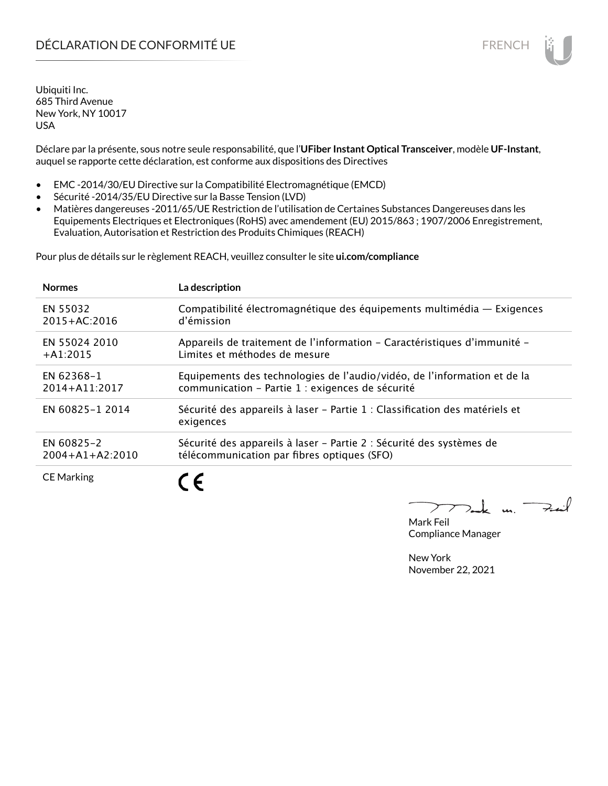# DÉCLARATION DE CONFORMITÉ UE EN ENCHANGEMENT DE CONFORMITÉ UNE ENCHANGEMENT DE CONFORMITÉ UNE ENCHANGEMENT DE

Ubiquiti Inc. 685 Third Avenue New York, NY 10017 USA

Déclare par la présente, sous notre seule responsabilité, que l'**UFiber Instant Optical Transceiver**, modèle **UF-Instant**, auquel se rapporte cette déclaration, est conforme aux dispositions des Directives

- EMC -2014/30/EU Directive sur la Compatibilité Electromagnétique (EMCD)
- Sécurité -2014/35/EU Directive sur la Basse Tension (LVD)
- Matières dangereuses -2011/65/UE Restriction de l'utilisation de Certaines Substances Dangereuses dans les Equipements Electriques et Electroniques (RoHS) avec amendement (EU) 2015/863 ; 1907/2006 Enregistrement, Evaluation, Autorisation et Restriction des Produits Chimiques (REACH)

Pour plus de détails sur le règlement REACH, veuillez consulter le site **ui.com/compliance**

| <b>Normes</b>         | La description                                                                           |
|-----------------------|------------------------------------------------------------------------------------------|
| EN 55032              | Compatibilité électromagnétique des équipements multimédia — Exigences                   |
| 2015+AC:2016          | d'émission                                                                               |
| EN 55024 2010         | Appareils de traitement de l'information – Caractéristiques d'immunité –                 |
| $+$ A1:2015           | Limites et méthodes de mesure                                                            |
| EN 62368-1            | Equipements des technologies de l'audio/vidéo, de l'information et de la                 |
| 2014+A11:2017         | communication - Partie 1 : exigences de sécurité                                         |
| EN 60825-1 2014       | Sécurité des appareils à laser – Partie 1 : Classification des matériels et<br>exigences |
| EN 60825-2            | Sécurité des appareils à laser - Partie 2 : Sécurité des systèmes de                     |
| $2004 + A1 + A2:2010$ | télécommunication par fibres optiques (SFO)                                              |
| <b>CE Marking</b>     |                                                                                          |

m. Fail

Mark Feil Compliance Manager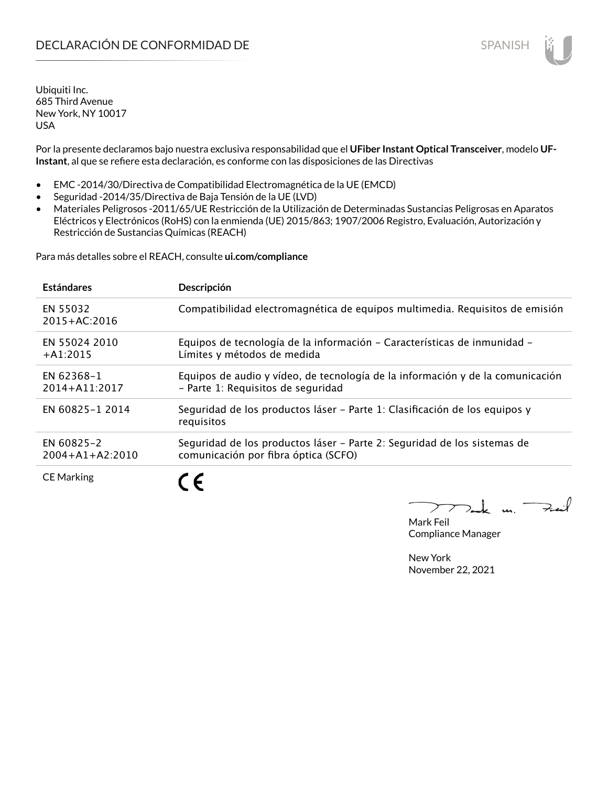Por la presente declaramos bajo nuestra exclusiva responsabilidad que el **UFiber Instant Optical Transceiver**, modelo **UF-Instant**, al que se refiere esta declaración, es conforme con las disposiciones de las Directivas

- EMC -2014/30/Directiva de Compatibilidad Electromagnética de la UE (EMCD)
- Seguridad -2014/35/Directiva de Baja Tensión de la UE (LVD)
- Materiales Peligrosos -2011/65/UE Restricción de la Utilización de Determinadas Sustancias Peligrosas en Aparatos Eléctricos y Electrónicos (RoHS) con la enmienda (UE) 2015/863; 1907/2006 Registro, Evaluación, Autorización y Restricción de Sustancias Químicas (REACH)

Para más detalles sobre el REACH, consulte **ui.com/compliance**

| <b>Estándares</b>                   | Descripción                                                                                                          |
|-------------------------------------|----------------------------------------------------------------------------------------------------------------------|
| EN 55032<br>2015+AC:2016            | Compatibilidad electromagnética de equipos multimedia. Requisitos de emisión                                         |
| EN 55024 2010<br>$+A1:2015$         | Equipos de tecnología de la información - Características de inmunidad -<br>Límites y métodos de medida              |
| <b>EN 62368-1</b><br>2014+A11:2017  | Equipos de audio y vídeo, de tecnología de la información y de la comunicación<br>- Parte 1: Requisitos de seguridad |
| EN 60825-1 2014                     | Seguridad de los productos láser – Parte 1: Clasificación de los equipos y<br>requisitos                             |
| EN 60825-2<br>$2004 + A1 + A2:2010$ | Seguridad de los productos láser - Parte 2: Seguridad de los sistemas de<br>comunicación por fibra óptica (SCFO)     |
| <b>CE Marking</b>                   | ←                                                                                                                    |

Mark Feil Compliance Manager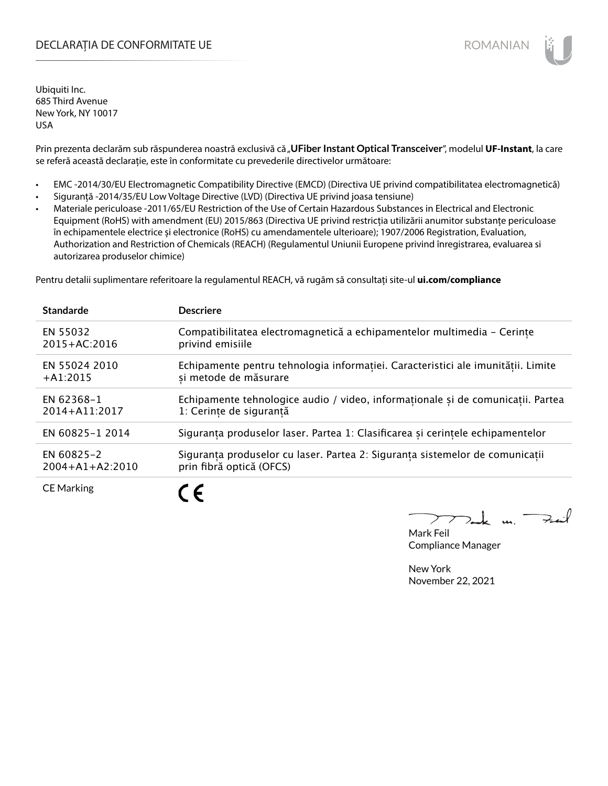## DECLARAȚIA DE CONFORMITATE UE EXTERNATION ANNO 1999 EN ANNO 1999 ROMANIAN

Ubiquiti Inc. 685 Third Avenue New York, NY 10017 USA

Prin prezenta declarăm sub răspunderea noastră exclusivă că "**UFiber Instant Optical Transceiver**", modelul **UF-Instant**, la care se referă această declarație, este în conformitate cu prevederile directivelor următoare:

- EMC -2014/30/EU Electromagnetic Compatibility Directive (EMCD) (Directiva UE privind compatibilitatea electromagnetică)
- Siguranță -2014/35/EU Low Voltage Directive (LVD) (Directiva UE privind joasa tensiune)

C E

• Materiale periculoase -2011/65/EU Restriction of the Use of Certain Hazardous Substances in Electrical and Electronic Equipment (RoHS) with amendment (EU) 2015/863 (Directiva UE privind restricția utilizării anumitor substanțe periculoase în echipamentele electrice și electronice (RoHS) cu amendamentele ulterioare); 1907/2006 Registration, Evaluation, Authorization and Restriction of Chemicals (REACH) (Regulamentul Uniunii Europene privind înregistrarea, evaluarea si autorizarea produselor chimice)

Pentru detalii suplimentare referitoare la regulamentul REACH, vă rugăm să consultați site-ul **ui.com/compliance**

| <b>Standarde</b>      | <b>Descriere</b>                                                                 |
|-----------------------|----------------------------------------------------------------------------------|
| EN 55032              | Compatibilitatea electromagnetică a echipamentelor multimedia - Cerințe          |
| 2015+AC:2016          | privind emisiile                                                                 |
| EN 55024 2010         | Echipamente pentru tehnologia informației. Caracteristici ale imunității. Limite |
| $+A1:2015$            | si metode de măsurare                                                            |
| EN 62368-1            | Echipamente tehnologice audio / video, informaționale și de comunicații. Partea  |
| 2014+A11:2017         | 1: Cerinte de sigurantă                                                          |
| EN 60825-1 2014       | Siguranța produselor laser. Partea 1: Clasificarea și cerințele echipamentelor   |
| EN 60825-2            | Siguranța produselor cu laser. Partea 2: Siguranța sistemelor de comunicații     |
| $2004 + A1 + A2:2010$ | prin fibră optică (OFCS)                                                         |
| $C \Gamma$ Mondation  | ◢ ◢                                                                              |

CE Marking

m. Fail

Mark Feil Compliance Manager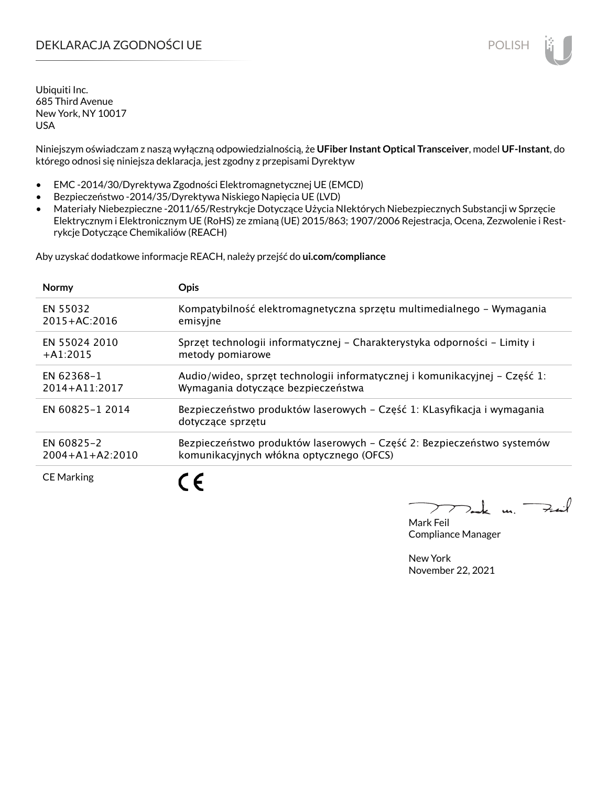# DEKLARACJA ZGODNOŚCI UE POLISH POLISH

Ubiquiti Inc. 685 Third Avenue New York, NY 10017 USA

Niniejszym oświadczam z naszą wyłączną odpowiedzialnością, że **UFiber Instant Optical Transceiver**, model **UF-Instant**, do którego odnosi się niniejsza deklaracja, jest zgodny z przepisami Dyrektyw

- EMC -2014/30/Dyrektywa Zgodności Elektromagnetycznej UE (EMCD)
- Bezpieczeństwo -2014/35/Dyrektywa Niskiego Napięcia UE (LVD)
- Materiały Niebezpieczne -2011/65/Restrykcje Dotyczące Użycia NIektórych Niebezpiecznych Substancji w Sprzęcie Elektrycznym i Elektronicznym UE (RoHS) ze zmianą (UE) 2015/863; 1907/2006 Rejestracja, Ocena, Zezwolenie i Restrykcje Dotyczące Chemikaliów (REACH)

Aby uzyskać dodatkowe informacje REACH, należy przejść do **ui.com/compliance**

| <b>Normy</b>          | <b>Opis</b>                                                                                  |
|-----------------------|----------------------------------------------------------------------------------------------|
| EN 55032              | Kompatybilność elektromagnetyczna sprzętu multimedialnego – Wymagania                        |
| 2015+AC:2016          | emisyjne                                                                                     |
| EN 55024 2010         | Sprzęt technologii informatycznej – Charakterystyka odporności – Limity i                    |
| $+$ A1:2015           | metody pomiarowe                                                                             |
| EN 62368-1            | Audio/wideo, sprzęt technologii informatycznej i komunikacyjnej – Część 1:                   |
| $2014 + A11:2017$     | Wymagania dotyczące bezpieczeństwa                                                           |
| EN 60825-1 2014       | Bezpieczeństwo produktów laserowych – Część 1: KLasyfikacja i wymagania<br>dotyczące sprzętu |
| EN 60825-2            | Bezpieczeństwo produktów laserowych – Część 2: Bezpieczeństwo systemów                       |
| $2004 + A1 + A2:2010$ | komunikacyjnych włókna optycznego (OFCS)                                                     |
| <b>CE Marking</b>     |                                                                                              |

m. Fail

Mark Feil Compliance Manager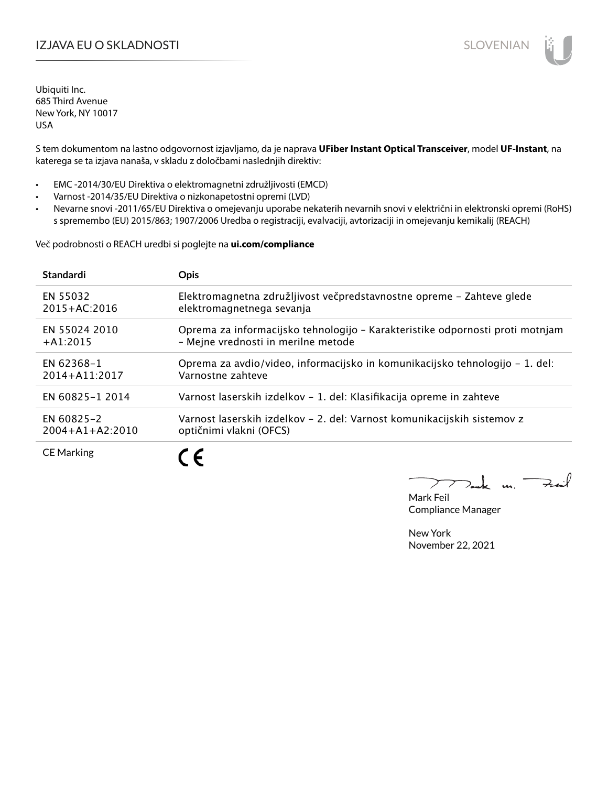# IZJAVA EU O SKLADNOSTI SLOVENIAN SLOVENIAN

Ubiquiti Inc. 685 Third Avenue New York, NY 10017 USA

S tem dokumentom na lastno odgovornost izjavljamo, da je naprava **UFiber Instant Optical Transceiver**, model **UF-Instant**, na katerega se ta izjava nanaša, v skladu z določbami naslednjih direktiv:

- EMC -2014/30/EU Direktiva o elektromagnetni združljivosti (EMCD)
- Varnost -2014/35/EU Direktiva o nizkonapetostni opremi (LVD)
- Nevarne snovi -2011/65/EU Direktiva o omejevanju uporabe nekaterih nevarnih snovi v električni in elektronski opremi (RoHS) s spremembo (EU) 2015/863; 1907/2006 Uredba o registraciji, evalvaciji, avtorizaciji in omejevanju kemikalij (REACH)

Več podrobnosti o REACH uredbi si poglejte na **ui.com/compliance**

| <b>Standardi</b>      | <b>Opis</b>                                                                   |
|-----------------------|-------------------------------------------------------------------------------|
| EN 55032              | Elektromagnetna združljivost večpredstavnostne opreme - Zahteve glede         |
| $2015 + AC:2016$      | elektromagnetnega sevanja                                                     |
| EN 55024 2010         | Oprema za informacijsko tehnologijo - Karakteristike odpornosti proti motnjam |
| $+A1:2015$            | - Mejne vrednosti in merilne metode                                           |
| EN 62368-1            | Oprema za avdio/video, informacijsko in komunikacijsko tehnologijo – 1. del:  |
| 2014+A11:2017         | Varnostne zahteve                                                             |
| EN 60825-1 2014       | Varnost laserskih izdelkov – 1. del: Klasifikacija opreme in zahteve          |
| EN 60825-2            | Varnost laserskih izdelkov – 2. del: Varnost komunikacijskih sistemov z       |
| $2004 + A1 + A2:2010$ | optičnimi vlakni (OFCS)                                                       |
| <b>CE Marking</b>     |                                                                               |

m. Fail

Mark Feil Compliance Manager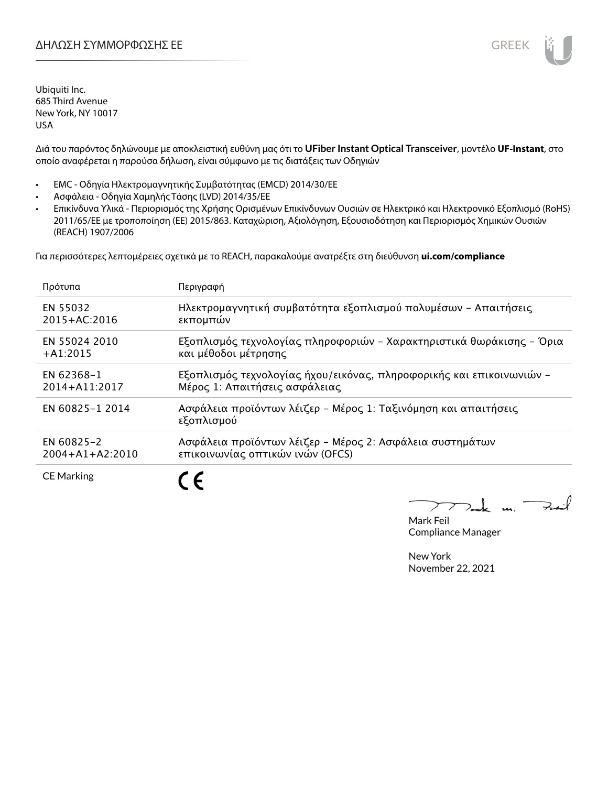

Διά του παρόντος δηλώνουμε με αποκλειστική ευθύνη μας ότι το **UFiber Instant Optical Transceiver**, μοντέλο **UF-Instant**, στο οποίο αναφέρεται η παρούσα δήλωση, είναι σύμφωνο με τις διατάξεις των Οδηγιών

- EMC Οδηγία Ηλεκτρομαγνητικής Συμβατότητας (EMCD) 2014/30/ΕΕ
- Ασφάλεια Οδηγία Χαμηλής Τάσης (LVD) 2014/35/ΕΕ
- Επικίνδυνα Υλικά Περιορισμός της Χρήσης Ορισμένων Επικίνδυνων Ουσιών σε Ηλεκτρικό και Ηλεκτρονικό Εξοπλισμό (RoHS) 2011/65/ΕΕ με τροποποίηση (ΕΕ) 2015/863. Καταχώριση, Αξιολόγηση, Εξουσιοδότηση και Περιορισμός Χημικών Ουσιών (REACH) 1907/2006

Για περισσότερες λεπτομέρειες σχετικά με το REACH, παρακαλούμε ανατρέξτε στη διεύθυνση **ui.com/compliance**

| Πρότυπα               | Περιγραφή                                                                    |
|-----------------------|------------------------------------------------------------------------------|
| EN 55032              | Ηλεκτρομαγνητική συμβατότητα εξοπλισμού πολυμέσων - Απαιτήσεις               |
| $2015 + AC:2016$      | εκπομπών                                                                     |
| EN 55024 2010         | Εξοπλισμός τεχνολογίας πληροφοριών - Χαρακτηριστικά θωράκισης - Όρια         |
| $+A1:2015$            | και μέθοδοι μέτρησης                                                         |
| EN 62368-1            | Εξοπλισμός τεχνολογίας ήχου/εικόνας, πληροφορικής και επικοινωνιών –         |
| 2014+A11:2017         | Μέρος 1: Απαιτήσεις ασφάλειας                                                |
| EN 60825-1 2014       | Ασφάλεια προϊόντων λέιζερ - Μέρος 1: Ταξινόμηση και απαιτήσεις<br>εξοπλισμού |
| EN 60825-2            | Ασφάλεια προϊόντων λέιζερ - Μέρος 2: Ασφάλεια συστημάτων                     |
| $2004 + A1 + A2:2010$ | επικοινωνίας οπτικών ινών (OFCS)                                             |
| <b>CE Marking</b>     |                                                                              |

 $\overline{u}$   $\rightarrow$ 

Mark Feil Compliance Manager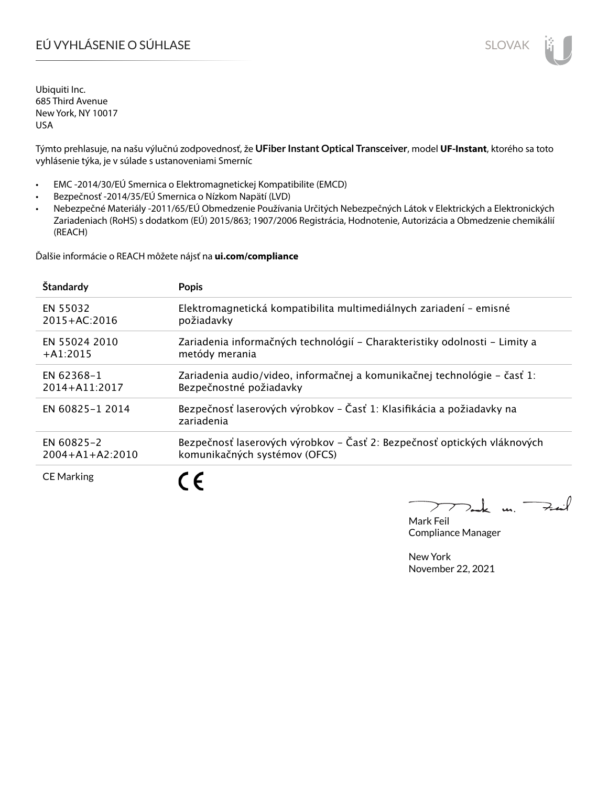# EÚ VYHLÁSENIE O SÚHLASE SLOVAK SLOVAK

Ubiquiti Inc. 685 Third Avenue New York, NY 10017 USA

Týmto prehlasuje, na našu výlučnú zodpovednosť, že **UFiber Instant Optical Transceiver**, model **UF-Instant**, ktorého sa toto vyhlásenie týka, je v súlade s ustanoveniami Smerníc

- EMC -2014/30/EÚ Smernica o Elektromagnetickej Kompatibilite (EMCD)
- Bezpečnosť -2014/35/EÚ Smernica o Nízkom Napätí (LVD)
- Nebezpečné Materiály -2011/65/EÚ Obmedzenie Používania Určitých Nebezpečných Látok v Elektrických a Elektronických Zariadeniach (RoHS) s dodatkom (EÚ) 2015/863; 1907/2006 Registrácia, Hodnotenie, Autorizácia a Obmedzenie chemikálií (REACH)

Ďalšie informácie o REACH môžete nájsť na **ui.com/compliance**

| Štandardy             | <b>Popis</b>                                                                        |
|-----------------------|-------------------------------------------------------------------------------------|
| EN 55032              | Elektromagnetická kompatibilita multimediálnych zariadení - emisné                  |
| 2015+AC:2016          | požiadavky                                                                          |
| EN 55024 2010         | Zariadenia informačných technológií – Charakteristiky odolnosti – Limity a          |
| $+A1:2015$            | metódy merania                                                                      |
| <b>EN 62368-1</b>     | Zariadenia audio/video, informačnej a komunikačnej technológie – časť 1:            |
| 2014+A11:2017         | Bezpečnostné požiadavky                                                             |
| EN 60825-1 2014       | Bezpečnosť laserových výrobkov - Časť 1: Klasifikácia a požiadavky na<br>zariadenia |
| EN 60825-2            | Bezpečnosť laserových výrobkov – Časť 2: Bezpečnosť optických vláknových            |
| $2004 + A1 + A2:2010$ | komunikačných systémov (OFCS)                                                       |
| <b>CE Marking</b>     | ►                                                                                   |

 $u_1$  Fail

Mark Feil Compliance Manager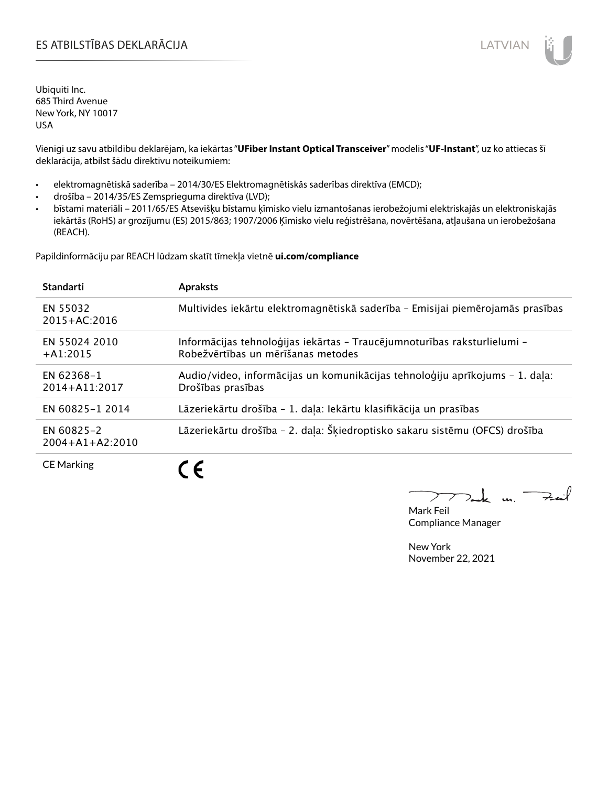# ES ATBILSTĪBAS DEKLARĀCIJA LATVIAN

Ubiquiti Inc. 685 Third Avenue New York, NY 10017 USA

Vienīgi uz savu atbildību deklarējam, ka iekārtas "**UFiber Instant Optical Transceiver**" modelis "**UF-Instant**", uz ko attiecas šī deklarācija, atbilst šādu direktīvu noteikumiem:

- elektromagnētiskā saderība 2014/30/ES Elektromagnētiskās saderības direktīva (EMCD);
- drošība 2014/35/ES Zemsprieguma direktīva (LVD);
- bīstami materiāli 2011/65/ES Atsevišķu bīstamu ķīmisko vielu izmantošanas ierobežojumi elektriskajās un elektroniskajās iekārtās (RoHS) ar grozījumu (ES) 2015/863; 1907/2006 Ķīmisko vielu reģistrēšana, novērtēšana, atļaušana un ierobežošana (REACH).

Papildinformāciju par REACH lūdzam skatīt tīmekļa vietnē **ui.com/compliance**

| <b>Standarti</b>                    | <b>Apraksts</b>                                                                                                |
|-------------------------------------|----------------------------------------------------------------------------------------------------------------|
| EN 55032<br>$2015 + AC:2016$        | Multivides iekārtu elektromagnētiskā saderība - Emisijai piemērojamās prasības                                 |
| EN 55024 2010<br>$+A1:2015$         | Informācijas tehnoloģijas iekārtas - Traucējumnoturības raksturlielumi -<br>Robežvērtības un mērīšanas metodes |
| EN 62368-1<br>2014+A11:2017         | Audio/video, informācijas un komunikācijas tehnoloģiju aprīkojums - 1. daļa:<br>Drošības prasības              |
| EN 60825-1 2014                     | Lāzeriekārtu drošība - 1. daļa: Iekārtu klasifikācija un prasības                                              |
| EN 60825-2<br>$2004 + A1 + A2:2010$ | Lāzeriekārtu drošība - 2. daļa: Šķiedroptisko sakaru sistēmu (OFCS) drošība                                    |
| <b>CE Marking</b>                   | ╺                                                                                                              |

كمنعة  $\overline{\phantom{a}}$ 

Mark Feil Compliance Manager